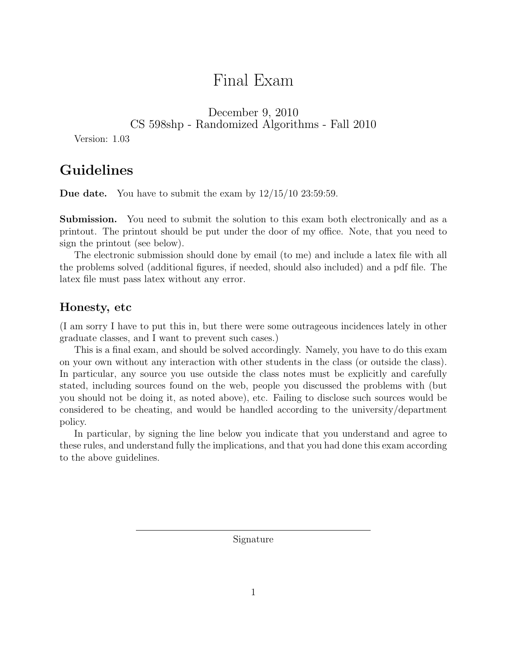# Final Exam

December 9, 2010

CS 598shp - Randomized Algorithms - Fall 2010

Version: 1.03

## Guidelines

**Due date.** You have to submit the exam by  $12/15/10$  23:59:59.

Submission. You need to submit the solution to this exam both electronically and as a printout. The printout should be put under the door of my office. Note, that you need to sign the printout (see below).

The electronic submission should done by email (to me) and include a latex file with all the problems solved (additional figures, if needed, should also included) and a pdf file. The latex file must pass latex without any error.

#### Honesty, etc

(I am sorry I have to put this in, but there were some outrageous incidences lately in other graduate classes, and I want to prevent such cases.)

This is a final exam, and should be solved accordingly. Namely, you have to do this exam on your own without any interaction with other students in the class (or outside the class). In particular, any source you use outside the class notes must be explicitly and carefully stated, including sources found on the web, people you discussed the problems with (but you should not be doing it, as noted above), etc. Failing to disclose such sources would be considered to be cheating, and would be handled according to the university/department policy.

In particular, by signing the line below you indicate that you understand and agree to these rules, and understand fully the implications, and that you had done this exam according to the above guidelines.

Signature